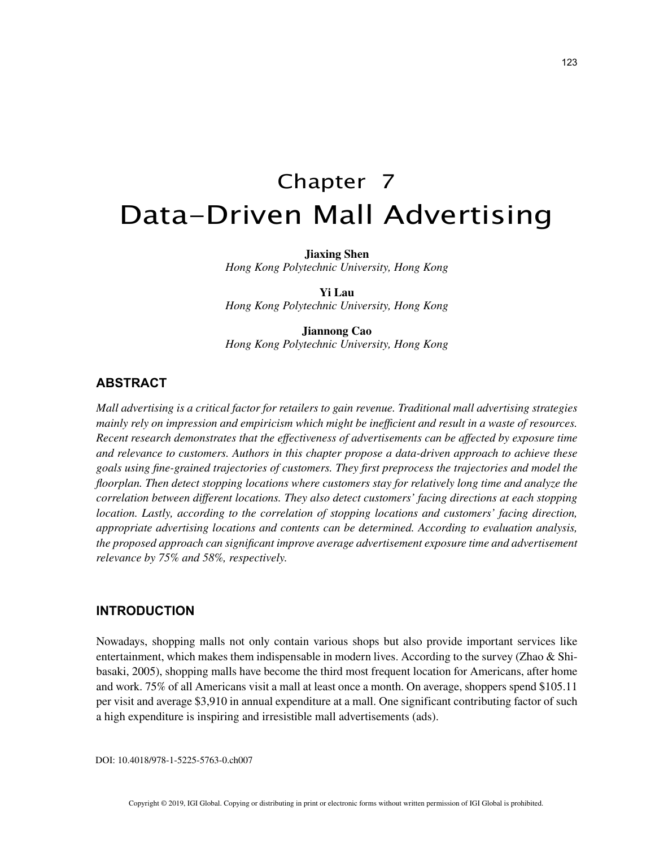# Chapter 7 Data-Driven Mall Advertising

**Jiaxing Shen**

*Hong Kong Polytechnic University, Hong Kong*

**Yi Lau** *Hong Kong Polytechnic University, Hong Kong*

**Jiannong Cao** *Hong Kong Polytechnic University, Hong Kong*

# **ABSTRACT**

*Mall advertising is a critical factor for retailers to gain revenue. Traditional mall advertising strategies mainly rely on impression and empiricism which might be inefficient and result in a waste of resources. Recent research demonstrates that the effectiveness of advertisements can be affected by exposure time and relevance to customers. Authors in this chapter propose a data-driven approach to achieve these goals using fine-grained trajectories of customers. They first preprocess the trajectories and model the floorplan. Then detect stopping locations where customers stay for relatively long time and analyze the correlation between different locations. They also detect customers' facing directions at each stopping location. Lastly, according to the correlation of stopping locations and customers' facing direction, appropriate advertising locations and contents can be determined. According to evaluation analysis, the proposed approach can significant improve average advertisement exposure time and advertisement relevance by 75% and 58%, respectively.*

### **INTRODUCTION**

Nowadays, shopping malls not only contain various shops but also provide important services like entertainment, which makes them indispensable in modern lives. According to the survey (Zhao & Shibasaki, 2005), shopping malls have become the third most frequent location for Americans, after home and work. 75% of all Americans visit a mall at least once a month. On average, shoppers spend \$105.11 per visit and average \$3,910 in annual expenditure at a mall. One significant contributing factor of such a high expenditure is inspiring and irresistible mall advertisements (ads).

DOI: 10.4018/978-1-5225-5763-0.ch007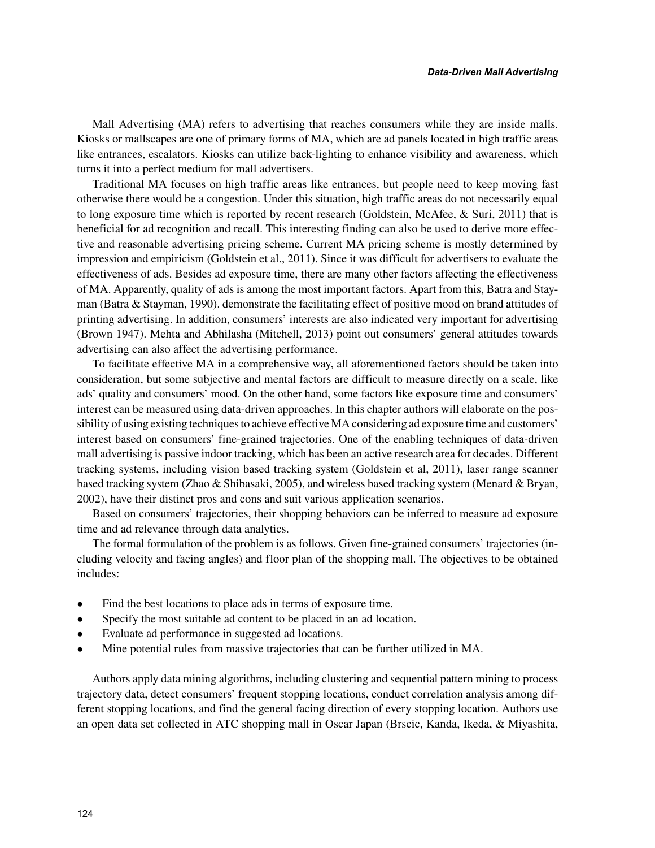Mall Advertising (MA) refers to advertising that reaches consumers while they are inside malls. Kiosks or mallscapes are one of primary forms of MA, which are ad panels located in high traffic areas like entrances, escalators. Kiosks can utilize back-lighting to enhance visibility and awareness, which turns it into a perfect medium for mall advertisers.

Traditional MA focuses on high traffic areas like entrances, but people need to keep moving fast otherwise there would be a congestion. Under this situation, high traffic areas do not necessarily equal to long exposure time which is reported by recent research (Goldstein, McAfee, & Suri, 2011) that is beneficial for ad recognition and recall. This interesting finding can also be used to derive more effective and reasonable advertising pricing scheme. Current MA pricing scheme is mostly determined by impression and empiricism (Goldstein et al., 2011). Since it was difficult for advertisers to evaluate the effectiveness of ads. Besides ad exposure time, there are many other factors affecting the effectiveness of MA. Apparently, quality of ads is among the most important factors. Apart from this, Batra and Stayman (Batra & Stayman, 1990). demonstrate the facilitating effect of positive mood on brand attitudes of printing advertising. In addition, consumers' interests are also indicated very important for advertising (Brown 1947). Mehta and Abhilasha (Mitchell, 2013) point out consumers' general attitudes towards advertising can also affect the advertising performance.

To facilitate effective MA in a comprehensive way, all aforementioned factors should be taken into consideration, but some subjective and mental factors are difficult to measure directly on a scale, like ads' quality and consumers' mood. On the other hand, some factors like exposure time and consumers' interest can be measured using data-driven approaches. In this chapter authors will elaborate on the possibility of using existing techniques to achieve effective MA considering ad exposure time and customers' interest based on consumers' fine-grained trajectories. One of the enabling techniques of data-driven mall advertising is passive indoor tracking, which has been an active research area for decades. Different tracking systems, including vision based tracking system (Goldstein et al, 2011), laser range scanner based tracking system (Zhao & Shibasaki, 2005), and wireless based tracking system (Menard & Bryan, 2002), have their distinct pros and cons and suit various application scenarios.

Based on consumers' trajectories, their shopping behaviors can be inferred to measure ad exposure time and ad relevance through data analytics.

The formal formulation of the problem is as follows. Given fine-grained consumers' trajectories (including velocity and facing angles) and floor plan of the shopping mall. The objectives to be obtained includes:

- Find the best locations to place ads in terms of exposure time.
- Specify the most suitable ad content to be placed in an ad location.
- Evaluate ad performance in suggested ad locations.
- Mine potential rules from massive trajectories that can be further utilized in MA.

Authors apply data mining algorithms, including clustering and sequential pattern mining to process trajectory data, detect consumers' frequent stopping locations, conduct correlation analysis among different stopping locations, and find the general facing direction of every stopping location. Authors use an open data set collected in ATC shopping mall in Oscar Japan (Brscic, Kanda, Ikeda, & Miyashita,